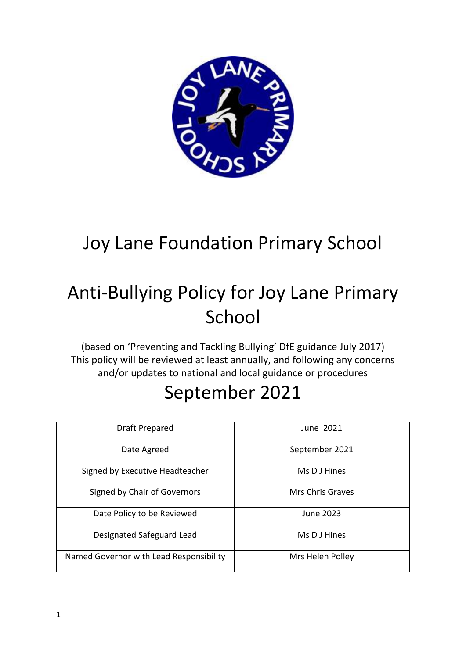

# Joy Lane Foundation Primary School

# Anti-Bullying Policy for Joy Lane Primary School

(based on 'Preventing and Tackling Bullying' DfE guidance July 2017) This policy will be reviewed at least annually, and following any concerns and/or updates to national and local guidance or procedures

# September 2021

| Draft Prepared                          | June 2021        |
|-----------------------------------------|------------------|
| Date Agreed                             | September 2021   |
| Signed by Executive Headteacher         | Ms D J Hines     |
| Signed by Chair of Governors            | Mrs Chris Graves |
| Date Policy to be Reviewed              | June 2023        |
| Designated Safeguard Lead               | Ms D J Hines     |
| Named Governor with Lead Responsibility | Mrs Helen Polley |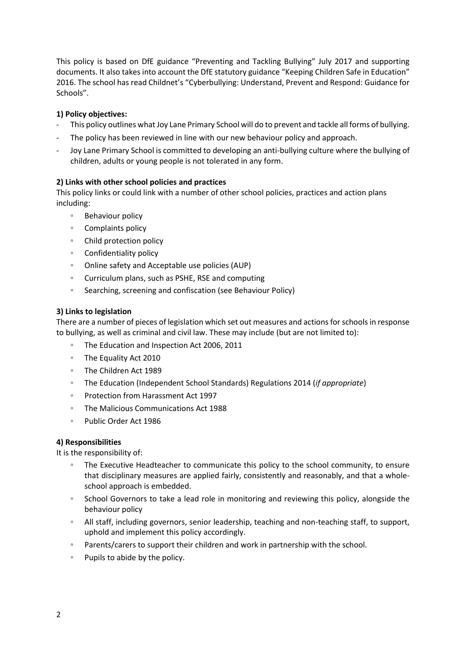This policy is based on DfE guidance "Preventing and Tackling Bullying" July 2017 and supporting documents. It also takes into account the DfE statutory guidance "Keeping Children Safe in Education" 2016. The school has read Childnet's "Cyberbullying: Understand, Prevent and Respond: Guidance for Schools".

# **1) Policy objectives:**

- This policy outlines what Joy Lane Primary School will do to prevent and tackle all forms of bullying.
- The policy has been reviewed in line with our new behaviour policy and approach.
- Joy Lane Primary School is committed to developing an anti-bullying culture where the bullying of children, adults or young people is not tolerated in any form.

# **2) Links with other school policies and practices**

This policy links or could link with a number of other school policies, practices and action plans including:

- Behaviour policy
- Complaints policy
- Child protection policy
- Confidentiality policy
- Online safety and Acceptable use policies (AUP)
- Curriculum plans, such as PSHE, RSE and computing
- Searching, screening and confiscation (see Behaviour Policy)

#### **3) Links to legislation**

There are a number of pieces of legislation which set out measures and actions for schools in response to bullying, as well as criminal and civil law. These may include (but are not limited to):

- The Education and Inspection Act 2006, 2011
- The Equality Act 2010
- The Children Act 1989
- The Education (Independent School Standards) Regulations 2014 (*if appropriate*)
- Protection from Harassment Act 1997
- The Malicious Communications Act 1988
- Public Order Act 1986

#### **4) Responsibilities**

It is the responsibility of:

- The Executive Headteacher to communicate this policy to the school community, to ensure that disciplinary measures are applied fairly, consistently and reasonably, and that a wholeschool approach is embedded.
- School Governors to take a lead role in monitoring and reviewing this policy, alongside the behaviour policy
- All staff, including governors, senior leadership, teaching and non-teaching staff, to support, uphold and implement this policy accordingly.
- Parents/carers to support their children and work in partnership with the school.
- Pupils to abide by the policy.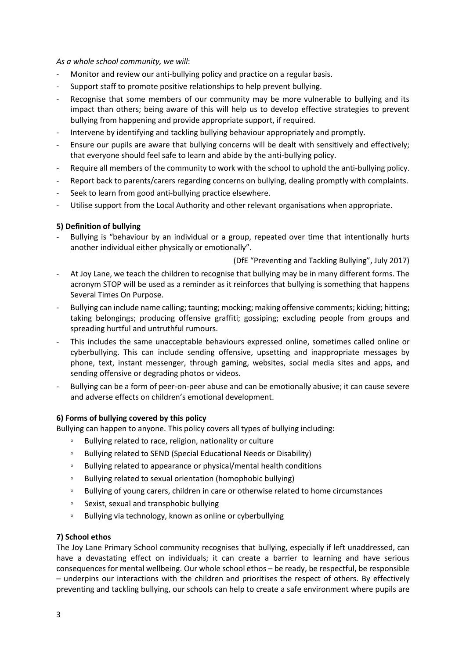*As a whole school community, we will*:

- Monitor and review our anti-bullying policy and practice on a regular basis.
- Support staff to promote positive relationships to help prevent bullying.
- Recognise that some members of our community may be more vulnerable to bullying and its impact than others; being aware of this will help us to develop effective strategies to prevent bullying from happening and provide appropriate support, if required.
- Intervene by identifying and tackling bullying behaviour appropriately and promptly.
- Ensure our pupils are aware that bullying concerns will be dealt with sensitively and effectively: that everyone should feel safe to learn and abide by the anti-bullying policy.
- Require all members of the community to work with the school to uphold the anti-bullying policy.
- Report back to parents/carers regarding concerns on bullying, dealing promptly with complaints.
- Seek to learn from good anti-bullying practice elsewhere.
- Utilise support from the Local Authority and other relevant organisations when appropriate.

# **5) Definition of bullying**

Bullying is "behaviour by an individual or a group, repeated over time that intentionally hurts another individual either physically or emotionally".

(DfE "Preventing and Tackling Bullying", July 2017)

- At Joy Lane, we teach the children to recognise that bullying may be in many different forms. The acronym STOP will be used as a reminder as it reinforces that bullying is something that happens Several Times On Purpose.
- Bullying can include name calling; taunting; mocking; making offensive comments; kicking; hitting; taking belongings; producing offensive graffiti; gossiping; excluding people from groups and spreading hurtful and untruthful rumours.
- This includes the same unacceptable behaviours expressed online, sometimes called online or cyberbullying. This can include sending offensive, upsetting and inappropriate messages by phone, text, instant messenger, through gaming, websites, social media sites and apps, and sending offensive or degrading photos or videos.
- Bullying can be a form of peer-on-peer abuse and can be emotionally abusive; it can cause severe and adverse effects on children's emotional development.

#### **6) Forms of bullying covered by this policy**

Bullying can happen to anyone. This policy covers all types of bullying including:

- Bullying related to race, religion, nationality or culture
- Bullying related to SEND (Special Educational Needs or Disability)
- Bullying related to appearance or physical/mental health conditions
- Bullying related to sexual orientation (homophobic bullying)
- Bullying of young carers, children in care or otherwise related to home circumstances
- Sexist, sexual and transphobic bullying
- Bullying via technology, known as online or cyberbullying

#### **7) School ethos**

The Joy Lane Primary School community recognises that bullying, especially if left unaddressed, can have a devastating effect on individuals; it can create a barrier to learning and have serious consequences for mental wellbeing. Our whole school ethos – be ready, be respectful, be responsible – underpins our interactions with the children and prioritises the respect of others. By effectively preventing and tackling bullying, our schools can help to create a safe environment where pupils are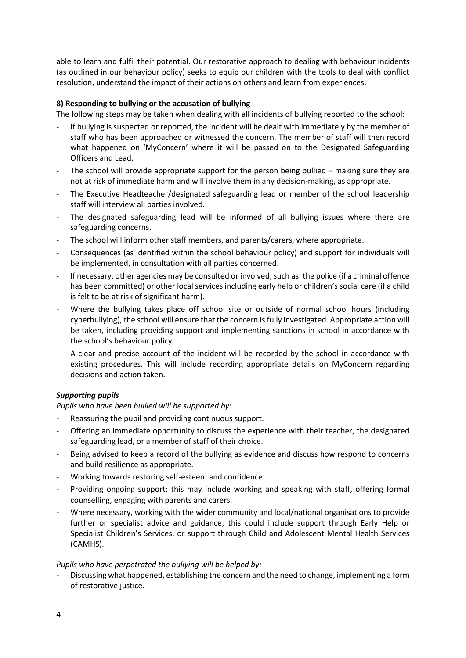able to learn and fulfil their potential. Our restorative approach to dealing with behaviour incidents (as outlined in our behaviour policy) seeks to equip our children with the tools to deal with conflict resolution, understand the impact of their actions on others and learn from experiences.

# **8) Responding to bullying or the accusation of bullying**

The following steps may be taken when dealing with all incidents of bullying reported to the school:

- If bullying is suspected or reported, the incident will be dealt with immediately by the member of staff who has been approached or witnessed the concern. The member of staff will then record what happened on 'MyConcern' where it will be passed on to the Designated Safeguarding Officers and Lead.
- The school will provide appropriate support for the person being bullied making sure they are not at risk of immediate harm and will involve them in any decision-making, as appropriate.
- The Executive Headteacher/designated safeguarding lead or member of the school leadership staff will interview all parties involved.
- The designated safeguarding lead will be informed of all bullying issues where there are safeguarding concerns.
- The school will inform other staff members, and parents/carers, where appropriate.
- Consequences (as identified within the school behaviour policy) and support for individuals will be implemented, in consultation with all parties concerned.
- If necessary, other agencies may be consulted or involved, such as: the police (if a criminal offence has been committed) or other local services including early help or children's social care (if a child is felt to be at risk of significant harm).
- Where the bullying takes place off school site or outside of normal school hours (including cyberbullying), the school will ensure that the concern is fully investigated. Appropriate action will be taken, including providing support and implementing sanctions in school in accordance with the school's behaviour policy.
- A clear and precise account of the incident will be recorded by the school in accordance with existing procedures. This will include recording appropriate details on MyConcern regarding decisions and action taken.

# *Supporting pupils*

*Pupils who have been bullied will be supported by:* 

- Reassuring the pupil and providing continuous support.
- Offering an immediate opportunity to discuss the experience with their teacher, the designated safeguarding lead, or a member of staff of their choice.
- Being advised to keep a record of the bullying as evidence and discuss how respond to concerns and build resilience as appropriate.
- Working towards restoring self-esteem and confidence.
- Providing ongoing support; this may include working and speaking with staff, offering formal counselling, engaging with parents and carers.
- Where necessary, working with the wider community and local/national organisations to provide further or specialist advice and guidance; this could include support through Early Help or Specialist Children's Services, or support through Child and Adolescent Mental Health Services (CAMHS).

#### *Pupils who have perpetrated the bullying will be helped by:*

Discussing what happened, establishing the concern and the need to change, implementing a form of restorative justice.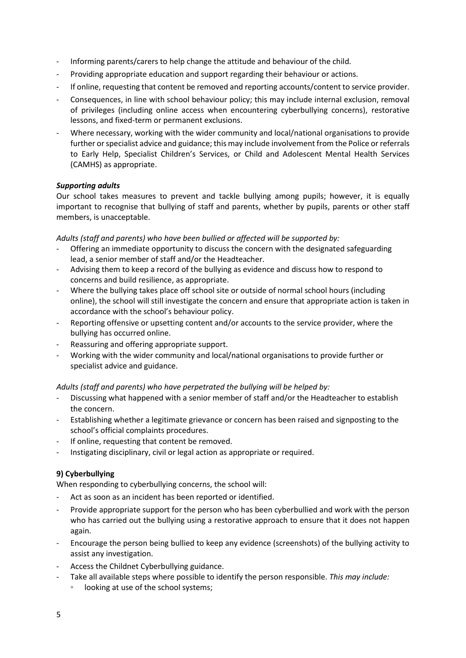- Informing parents/carers to help change the attitude and behaviour of the child.
- Providing appropriate education and support regarding their behaviour or actions.
- If online, requesting that content be removed and reporting accounts/content to service provider.
- Consequences, in line with school behaviour policy; this may include internal exclusion, removal of privileges (including online access when encountering cyberbullying concerns), restorative lessons, and fixed-term or permanent exclusions.
- Where necessary, working with the wider community and local/national organisations to provide further or specialist advice and guidance; this may include involvement from the Police or referrals to Early Help, Specialist Children's Services, or Child and Adolescent Mental Health Services (CAMHS) as appropriate.

# *Supporting adults*

Our school takes measures to prevent and tackle bullying among pupils; however, it is equally important to recognise that bullying of staff and parents, whether by pupils, parents or other staff members, is unacceptable.

#### *Adults (staff and parents) who have been bullied or affected will be supported by:*

- Offering an immediate opportunity to discuss the concern with the designated safeguarding lead, a senior member of staff and/or the Headteacher.
- Advising them to keep a record of the bullying as evidence and discuss how to respond to concerns and build resilience, as appropriate.
- Where the bullying takes place off school site or outside of normal school hours (including online), the school will still investigate the concern and ensure that appropriate action is taken in accordance with the school's behaviour policy.
- Reporting offensive or upsetting content and/or accounts to the service provider, where the bullying has occurred online.
- Reassuring and offering appropriate support.
- Working with the wider community and local/national organisations to provide further or specialist advice and guidance.

#### *Adults (staff and parents) who have perpetrated the bullying will be helped by:*

- Discussing what happened with a senior member of staff and/or the Headteacher to establish the concern.
- Establishing whether a legitimate grievance or concern has been raised and signposting to the school's official complaints procedures.
- If online, requesting that content be removed.
- Instigating disciplinary, civil or legal action as appropriate or required.

#### **9) Cyberbullying**

When responding to cyberbullying concerns, the school will:

- Act as soon as an incident has been reported or identified.
- Provide appropriate support for the person who has been cyberbullied and work with the person who has carried out the bullying using a restorative approach to ensure that it does not happen again.
- Encourage the person being bullied to keep any evidence (screenshots) of the bullying activity to assist any investigation.
- Access the Childnet Cyberbullying guidance.
- Take all available steps where possible to identify the person responsible. *This may include:*
	- looking at use of the school systems;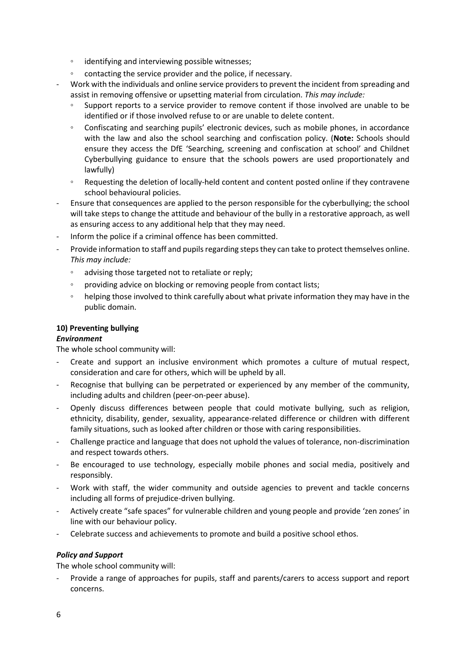- identifying and interviewing possible witnesses;
- contacting the service provider and the police, if necessary.
- Work with the individuals and online service providers to prevent the incident from spreading and assist in removing offensive or upsetting material from circulation. *This may include:*
	- Support reports to a service provider to remove content if those involved are unable to be identified or if those involved refuse to or are unable to delete content.
	- Confiscating and searching pupils' electronic devices, such as mobile phones, in accordance with the law and also the school searching and confiscation policy. (**Note:** Schools should ensure they access the DfE 'Searching, screening and confiscation at school' and Childnet Cyberbullying guidance to ensure that the schools powers are used proportionately and lawfully)
	- Requesting the deletion of locally-held content and content posted online if they contravene school behavioural policies.
- Ensure that consequences are applied to the person responsible for the cyberbullying; the school will take steps to change the attitude and behaviour of the bully in a restorative approach, as well as ensuring access to any additional help that they may need.
- Inform the police if a criminal offence has been committed.
- Provide information to staff and pupils regarding steps they can take to protect themselves online. *This may include:*
	- advising those targeted not to retaliate or reply;
	- providing advice on blocking or removing people from contact lists;
	- helping those involved to think carefully about what private information they may have in the public domain.

# **10) Preventing bullying**

#### *Environment*

The whole school community will:

- Create and support an inclusive environment which promotes a culture of mutual respect, consideration and care for others, which will be upheld by all.
- Recognise that bullying can be perpetrated or experienced by any member of the community, including adults and children (peer-on-peer abuse).
- Openly discuss differences between people that could motivate bullying, such as religion, ethnicity, disability, gender, sexuality, appearance-related difference or children with different family situations, such as looked after children or those with caring responsibilities.
- Challenge practice and language that does not uphold the values of tolerance, non-discrimination and respect towards others.
- Be encouraged to use technology, especially mobile phones and social media, positively and responsibly.
- Work with staff, the wider community and outside agencies to prevent and tackle concerns including all forms of prejudice-driven bullying.
- Actively create "safe spaces" for vulnerable children and young people and provide 'zen zones' in line with our behaviour policy.
- Celebrate success and achievements to promote and build a positive school ethos.

#### *Policy and Support*

The whole school community will:

- Provide a range of approaches for pupils, staff and parents/carers to access support and report concerns.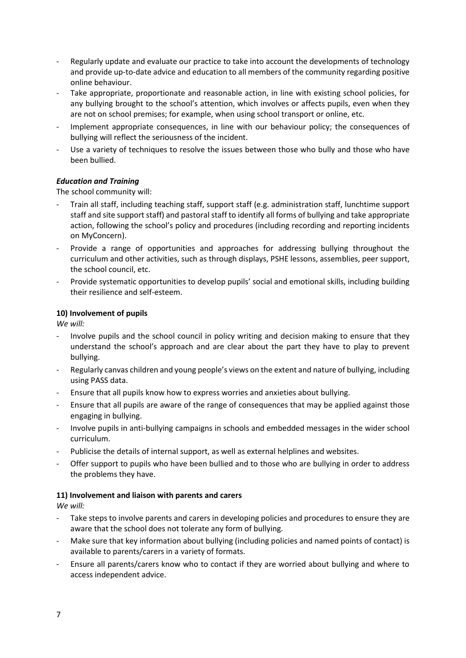- Regularly update and evaluate our practice to take into account the developments of technology and provide up-to-date advice and education to all members of the community regarding positive online behaviour.
- Take appropriate, proportionate and reasonable action, in line with existing school policies, for any bullying brought to the school's attention, which involves or affects pupils, even when they are not on school premises; for example, when using school transport or online, etc.
- Implement appropriate consequences, in line with our behaviour policy; the consequences of bullying will reflect the seriousness of the incident.
- Use a variety of techniques to resolve the issues between those who bully and those who have been bullied.

# *Education and Training*

The school community will:

- Train all staff, including teaching staff, support staff (e.g. administration staff, lunchtime support staff and site support staff) and pastoral staff to identify all forms of bullying and take appropriate action, following the school's policy and procedures (including recording and reporting incidents on MyConcern).
- Provide a range of opportunities and approaches for addressing bullying throughout the curriculum and other activities, such as through displays, PSHE lessons, assemblies, peer support, the school council, etc.
- Provide systematic opportunities to develop pupils' social and emotional skills, including building their resilience and self-esteem.

#### **10) Involvement of pupils**

*We will:* 

- Involve pupils and the school council in policy writing and decision making to ensure that they understand the school's approach and are clear about the part they have to play to prevent bullying.
- Regularly canvas children and young people's views on the extent and nature of bullying, including using PASS data.
- Ensure that all pupils know how to express worries and anxieties about bullying.
- Ensure that all pupils are aware of the range of consequences that may be applied against those engaging in bullying.
- Involve pupils in anti-bullying campaigns in schools and embedded messages in the wider school curriculum.
- Publicise the details of internal support, as well as external helplines and websites.
- Offer support to pupils who have been bullied and to those who are bullying in order to address the problems they have.

#### **11) Involvement and liaison with parents and carers**

*We will:* 

- Take steps to involve parents and carers in developing policies and procedures to ensure they are aware that the school does not tolerate any form of bullying.
- Make sure that key information about bullying (including policies and named points of contact) is available to parents/carers in a variety of formats.
- Ensure all parents/carers know who to contact if they are worried about bullying and where to access independent advice.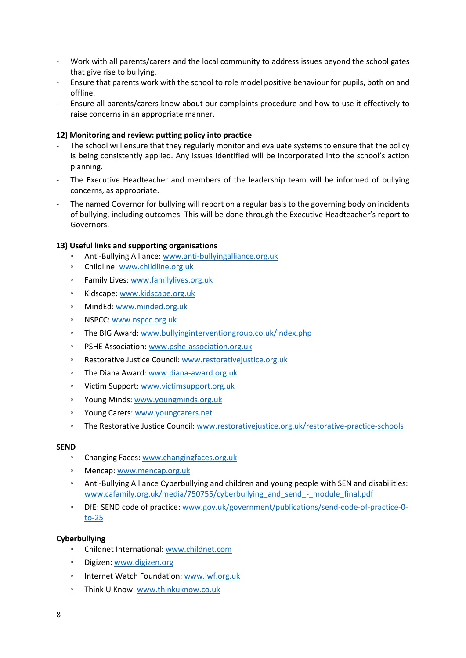- Work with all parents/carers and the local community to address issues beyond the school gates that give rise to bullying.
- Ensure that parents work with the school to role model positive behaviour for pupils, both on and offline.
- Ensure all parents/carers know about our complaints procedure and how to use it effectively to raise concerns in an appropriate manner.

#### **12) Monitoring and review: putting policy into practice**

- The school will ensure that they regularly monitor and evaluate systems to ensure that the policy is being consistently applied. Any issues identified will be incorporated into the school's action planning.
- The Executive Headteacher and members of the leadership team will be informed of bullying concerns, as appropriate.
- The named Governor for bullying will report on a regular basis to the governing body on incidents of bullying, including outcomes. This will be done through the Executive Headteacher's report to Governors.

# **13) Useful links and supporting organisations**

- Anti-Bullying Alliance: [www.anti-bullyingalliance.org.uk](http://www.anti-bullyingalliance.org.uk/)
- Childline: [www.childline.org.uk](http://www.childline.org.uk/)
- Family Lives: [www.familylives.org.uk](http://www.familylives.org.uk/)
- Kidscape: [www.kidscape.org.uk](http://www.kidscape.org.uk/)
- MindEd: [www.minded.org.uk](http://www.minded.org.uk/)
- NSPCC: [www.nspcc.org.uk](http://www.nspcc.org.uk/)
- The BIG Award: [www.bullyinginterventiongroup.co.uk/index.php](http://www.bullyinginterventiongroup.co.uk/index.php)
- PSHE Association: [www.pshe-association.org.uk](http://www.pshe-association.org.uk/)
- Restorative Justice Council: [www.restorativejustice.org.uk](http://www.restorativejustice.org.uk/)
- The Diana Award[: www.diana-award.org.uk](http://www.diana-award.org.uk/)
- Victim Support: [www.victimsupport.org.uk](http://www.victimsupport.org.uk/)
- Young Minds[: www.youngminds.org.uk](http://www.youngminds.org.uk/)
- Young Carers[: www.youngcarers.net](http://www.youngcarers.net/)
- The Restorative Justice Council: [www.restorativejustice.org.uk/restorative-practice-schools](http://www.restorativejustice.org.uk/restorative-practice-schools)

#### **SEND**

- Changing Faces: [www.changingfaces.org.uk](http://www.changingfaces.org.uk/)
- Mencap: [www.mencap.org.uk](http://www.mencap.org.uk/)
- Anti-Bullying Alliance Cyberbullying and children and young people with SEN and disabilities: [www.cafamily.org.uk/media/750755/cyberbullying\\_and\\_send\\_-\\_module\\_final.pdf](http://www.cafamily.org.uk/media/750755/cyberbullying_and_send_-_module_final.pdf)
- DfE: SEND code of practice: [www.gov.uk/government/publications/send-code-of-practice-0](http://www.gov.uk/government/publications/send-code-of-practice-0-to-25) [to-25](http://www.gov.uk/government/publications/send-code-of-practice-0-to-25)

#### **Cyberbullying**

- Childnet International[: www.childnet.com](http://www.childnet.com/)
- Digizen: [www.digizen.org](http://www.digizen.org/)
- Internet Watch Foundation: [www.iwf.org.uk](http://www.iwf.org.uk/)
- Think U Know: [www.thinkuknow.co.uk](http://www.thinkuknow.co.uk/)